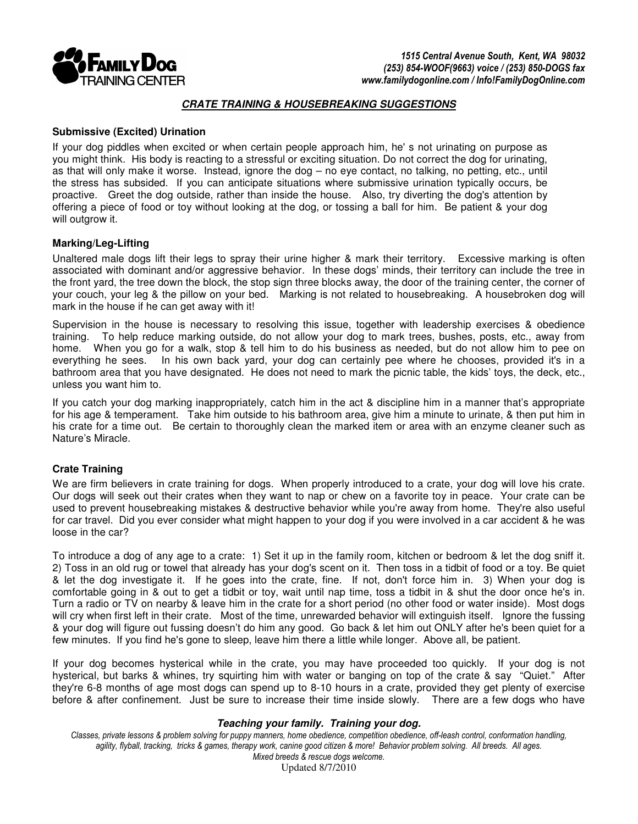

### **CRATE TRAINING & HOUSEBREAKING SUGGESTIONS**

### **Submissive (Excited) Urination**

If your dog piddles when excited or when certain people approach him, he' s not urinating on purpose as you might think. His body is reacting to a stressful or exciting situation. Do not correct the dog for urinating, as that will only make it worse. Instead, ignore the dog – no eye contact, no talking, no petting, etc., until the stress has subsided. If you can anticipate situations where submissive urination typically occurs, be proactive. Greet the dog outside, rather than inside the house. Also, try diverting the dog's attention by offering a piece of food or toy without looking at the dog, or tossing a ball for him. Be patient & your dog will outgrow it.

## **Marking/Leg-Lifting**

Unaltered male dogs lift their legs to spray their urine higher & mark their territory. Excessive marking is often associated with dominant and/or aggressive behavior. In these dogs' minds, their territory can include the tree in the front yard, the tree down the block, the stop sign three blocks away, the door of the training center, the corner of your couch, your leg & the pillow on your bed. Marking is not related to housebreaking. A housebroken dog will mark in the house if he can get away with it!

Supervision in the house is necessary to resolving this issue, together with leadership exercises & obedience training. To help reduce marking outside, do not allow your dog to mark trees, bushes, posts, etc., away from home. When you go for a walk, stop & tell him to do his business as needed, but do not allow him to pee on everything he sees. In his own back yard, your dog can certainly pee where he chooses, provided it's in a bathroom area that you have designated. He does not need to mark the picnic table, the kids' toys, the deck, etc., unless you want him to.

If you catch your dog marking inappropriately, catch him in the act & discipline him in a manner that's appropriate for his age & temperament. Take him outside to his bathroom area, give him a minute to urinate, & then put him in his crate for a time out. Be certain to thoroughly clean the marked item or area with an enzyme cleaner such as Nature's Miracle.

# **Crate Training**

We are firm believers in crate training for dogs. When properly introduced to a crate, your dog will love his crate. Our dogs will seek out their crates when they want to nap or chew on a favorite toy in peace. Your crate can be used to prevent housebreaking mistakes & destructive behavior while you're away from home. They're also useful for car travel. Did you ever consider what might happen to your dog if you were involved in a car accident & he was loose in the car?

To introduce a dog of any age to a crate: 1) Set it up in the family room, kitchen or bedroom & let the dog sniff it. 2) Toss in an old rug or towel that already has your dog's scent on it. Then toss in a tidbit of food or a toy. Be quiet & let the dog investigate it. If he goes into the crate, fine. If not, don't force him in. 3) When your dog is comfortable going in & out to get a tidbit or toy, wait until nap time, toss a tidbit in & shut the door once he's in. Turn a radio or TV on nearby & leave him in the crate for a short period (no other food or water inside). Most dogs will cry when first left in their crate. Most of the time, unrewarded behavior will extinguish itself. Ignore the fussing & your dog will figure out fussing doesn't do him any good. Go back & let him out ONLY after he's been quiet for a few minutes. If you find he's gone to sleep, leave him there a little while longer. Above all, be patient.

If your dog becomes hysterical while in the crate, you may have proceeded too quickly. If your dog is not hysterical, but barks & whines, try squirting him with water or banging on top of the crate & say "Quiet." After they're 6-8 months of age most dogs can spend up to 8-10 hours in a crate, provided they get plenty of exercise before & after confinement. Just be sure to increase their time inside slowly. There are a few dogs who have

### **Teaching your family. Training your dog.**

Classes, private lessons & problem solving for puppy manners, home obedience, competition obedience, off-leash control, conformation handling, agility, flyball, tracking, tricks & games, therapy work, canine good citizen & more! Behavior problem solving. All breeds. All ages. Mixed breeds & rescue dogs welcome.

Updated 8/7/2010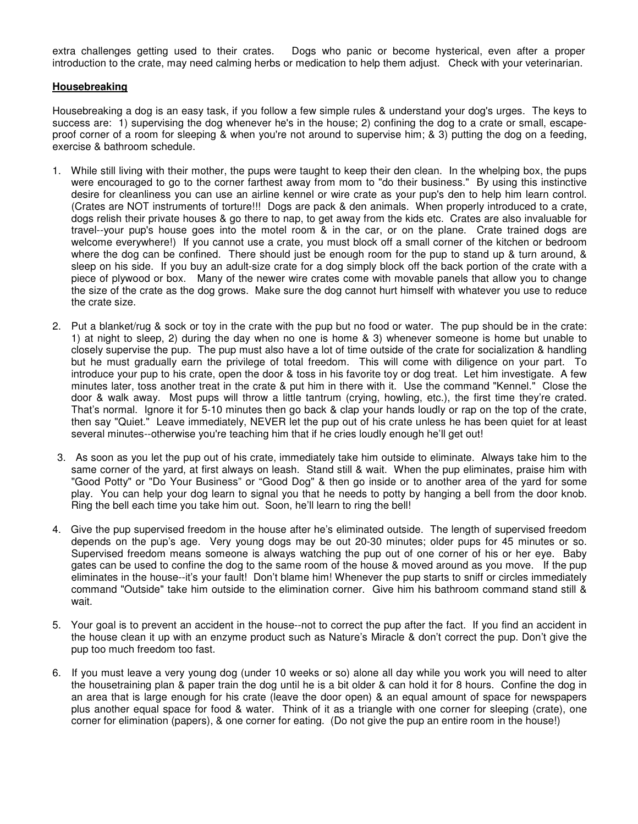extra challenges getting used to their crates. Dogs who panic or become hysterical, even after a proper introduction to the crate, may need calming herbs or medication to help them adjust. Check with your veterinarian.

### **Housebreaking**

Housebreaking a dog is an easy task, if you follow a few simple rules & understand your dog's urges. The keys to success are: 1) supervising the dog whenever he's in the house; 2) confining the dog to a crate or small, escapeproof corner of a room for sleeping & when you're not around to supervise him; & 3) putting the dog on a feeding, exercise & bathroom schedule.

- 1. While still living with their mother, the pups were taught to keep their den clean. In the whelping box, the pups were encouraged to go to the corner farthest away from mom to "do their business." By using this instinctive desire for cleanliness you can use an airline kennel or wire crate as your pup's den to help him learn control. (Crates are NOT instruments of torture!!! Dogs are pack & den animals. When properly introduced to a crate, dogs relish their private houses & go there to nap, to get away from the kids etc. Crates are also invaluable for travel--your pup's house goes into the motel room & in the car, or on the plane. Crate trained dogs are welcome everywhere!) If you cannot use a crate, you must block off a small corner of the kitchen or bedroom where the dog can be confined. There should just be enough room for the pup to stand up & turn around, & sleep on his side. If you buy an adult-size crate for a dog simply block off the back portion of the crate with a piece of plywood or box. Many of the newer wire crates come with movable panels that allow you to change the size of the crate as the dog grows. Make sure the dog cannot hurt himself with whatever you use to reduce the crate size.
- 2. Put a blanket/rug & sock or toy in the crate with the pup but no food or water. The pup should be in the crate: 1) at night to sleep, 2) during the day when no one is home & 3) whenever someone is home but unable to closely supervise the pup. The pup must also have a lot of time outside of the crate for socialization & handling but he must gradually earn the privilege of total freedom. This will come with diligence on your part. To introduce your pup to his crate, open the door & toss in his favorite toy or dog treat. Let him investigate. A few minutes later, toss another treat in the crate & put him in there with it. Use the command "Kennel." Close the door & walk away. Most pups will throw a little tantrum (crying, howling, etc.), the first time they're crated. That's normal. Ignore it for 5-10 minutes then go back & clap your hands loudly or rap on the top of the crate, then say "Quiet." Leave immediately, NEVER let the pup out of his crate unless he has been quiet for at least several minutes--otherwise you're teaching him that if he cries loudly enough he'll get out!
- 3. As soon as you let the pup out of his crate, immediately take him outside to eliminate. Always take him to the same corner of the yard, at first always on leash. Stand still & wait. When the pup eliminates, praise him with "Good Potty" or "Do Your Business" or "Good Dog" & then go inside or to another area of the yard for some play. You can help your dog learn to signal you that he needs to potty by hanging a bell from the door knob. Ring the bell each time you take him out. Soon, he'll learn to ring the bell!
- 4. Give the pup supervised freedom in the house after he's eliminated outside. The length of supervised freedom depends on the pup's age. Very young dogs may be out 20-30 minutes; older pups for 45 minutes or so. Supervised freedom means someone is always watching the pup out of one corner of his or her eye. Baby gates can be used to confine the dog to the same room of the house & moved around as you move. If the pup eliminates in the house--it's your fault! Don't blame him! Whenever the pup starts to sniff or circles immediately command "Outside" take him outside to the elimination corner. Give him his bathroom command stand still & wait.
- 5. Your goal is to prevent an accident in the house--not to correct the pup after the fact. If you find an accident in the house clean it up with an enzyme product such as Nature's Miracle & don't correct the pup. Don't give the pup too much freedom too fast.
- 6. If you must leave a very young dog (under 10 weeks or so) alone all day while you work you will need to alter the housetraining plan & paper train the dog until he is a bit older & can hold it for 8 hours. Confine the dog in an area that is large enough for his crate (leave the door open) & an equal amount of space for newspapers plus another equal space for food & water. Think of it as a triangle with one corner for sleeping (crate), one corner for elimination (papers), & one corner for eating. (Do not give the pup an entire room in the house!)